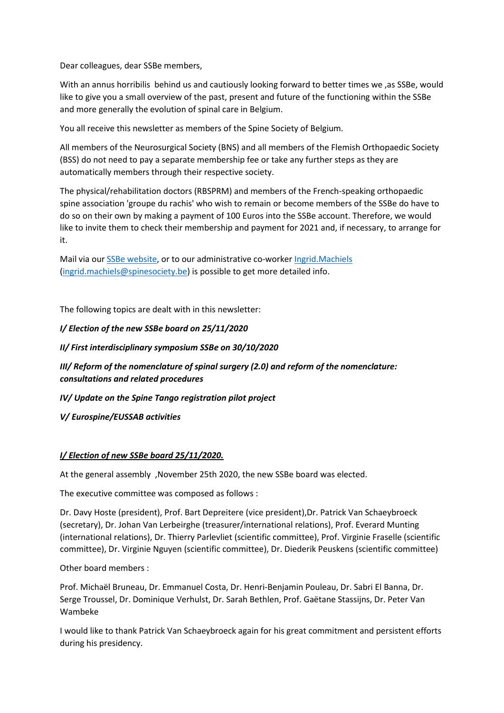Dear colleagues, dear SSBe members,

With an annus horribilis behind us and cautiously looking forward to better times we , as SSBe, would like to give you a small overview of the past, present and future of the functioning within the SSBe and more generally the evolution of spinal care in Belgium.

You all receive this newsletter as members of the Spine Society of Belgium.

All members of the Neurosurgical Society (BNS) and all members of the Flemish Orthopaedic Society (BSS) do not need to pay a separate membership fee or take any further steps as they are automatically members through their respective society.

The physical/rehabilitation doctors (RBSPRM) and members of the French-speaking orthopaedic spine association 'groupe du rachis' who wish to remain or become members of the SSBe do have to do so on their own by making a payment of 100 Euros into the SSBe account. Therefore, we would like to invite them to check their membership and payment for 2021 and, if necessary, to arrange for it.

Mail via our [SSBe website,](https://www.spinesociety.be/contact/) or to our administrative co-worker [Ingrid.Machiels](mailto:Ingrid.Machiels@spinesociety.be) [\(ingrid.machiels@spinesociety.be\)](mailto:ingrid.machiels@spinesociety.be) is possible to get more detailed info.

The following topics are dealt with in this newsletter:

## *I/ Election of the new SSBe board on 25/11/2020*

#### *II/ First interdisciplinary symposium SSBe on 30/10/2020*

*III/ Reform of the nomenclature of spinal surgery (2.0) and reform of the nomenclature: consultations and related procedures*

*IV/ Update on the Spine Tango registration pilot project*

*V/ Eurospine/EUSSAB activities*

## *I/ Election of new SSBe board 25/11/2020.*

At the general assembly ,November 25th 2020, the new SSBe board was elected.

The executive committee was composed as follows :

Dr. Davy Hoste (president), Prof. Bart Depreitere (vice president),Dr. Patrick Van Schaeybroeck (secretary), Dr. Johan Van Lerbeirghe (treasurer/international relations), Prof. Everard Munting (international relations), Dr. Thierry Parlevliet (scientific committee), Prof. Virginie Fraselle (scientific committee), Dr. Virginie Nguyen (scientific committee), Dr. Diederik Peuskens (scientific committee)

Other board members :

Prof. Michaël Bruneau, Dr. Emmanuel Costa, Dr. Henri-Benjamin Pouleau, Dr. Sabri El Banna, Dr. Serge Troussel, Dr. Dominique Verhulst, Dr. Sarah Bethlen, Prof. Gaëtane Stassijns, Dr. Peter Van Wambeke

I would like to thank Patrick Van Schaeybroeck again for his great commitment and persistent efforts during his presidency.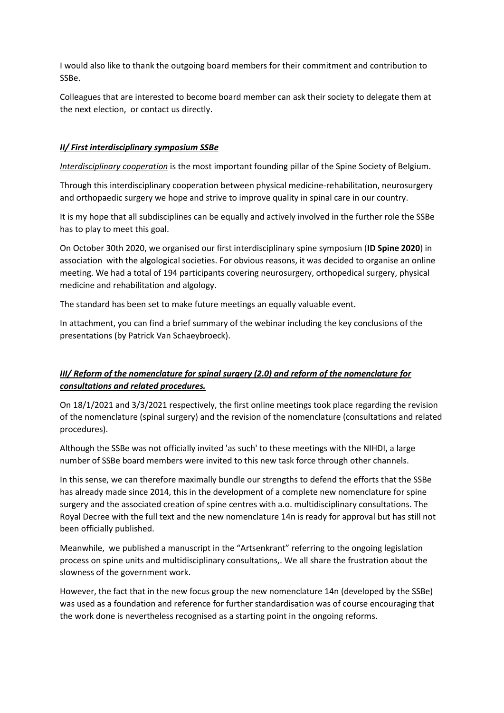I would also like to thank the outgoing board members for their commitment and contribution to SSBe.

Colleagues that are interested to become board member can ask their society to delegate them at the next election, or contact us directly.

### *II/ First interdisciplinary symposium SSBe*

*Interdisciplinary cooperation* is the most important founding pillar of the Spine Society of Belgium.

Through this interdisciplinary cooperation between physical medicine-rehabilitation, neurosurgery and orthopaedic surgery we hope and strive to improve quality in spinal care in our country.

It is my hope that all subdisciplines can be equally and actively involved in the further role the SSBe has to play to meet this goal.

On October 30th 2020, we organised our first interdisciplinary spine symposium (**ID Spine 2020**) in association with the algological societies. For obvious reasons, it was decided to organise an online meeting. We had a total of 194 participants covering neurosurgery, orthopedical surgery, physical medicine and rehabilitation and algology.

The standard has been set to make future meetings an equally valuable event.

In attachment, you can find a brief summary of the webinar including the key conclusions of the presentations (by Patrick Van Schaeybroeck).

# *III/ Reform of the nomenclature for spinal surgery (2.0) and reform of the nomenclature for consultations and related procedures.*

On 18/1/2021 and 3/3/2021 respectively, the first online meetings took place regarding the revision of the nomenclature (spinal surgery) and the revision of the nomenclature (consultations and related procedures).

Although the SSBe was not officially invited 'as such' to these meetings with the NIHDI, a large number of SSBe board members were invited to this new task force through other channels.

In this sense, we can therefore maximally bundle our strengths to defend the efforts that the SSBe has already made since 2014, this in the development of a complete new nomenclature for spine surgery and the associated creation of spine centres with a.o. multidisciplinary consultations. The Royal Decree with the full text and the new nomenclature 14n is ready for approval but has still not been officially published.

Meanwhile, we published a manuscript in the "Artsenkrant" referring to the ongoing legislation process on spine units and multidisciplinary consultations,. We all share the frustration about the slowness of the government work.

However, the fact that in the new focus group the new nomenclature 14n (developed by the SSBe) was used as a foundation and reference for further standardisation was of course encouraging that the work done is nevertheless recognised as a starting point in the ongoing reforms.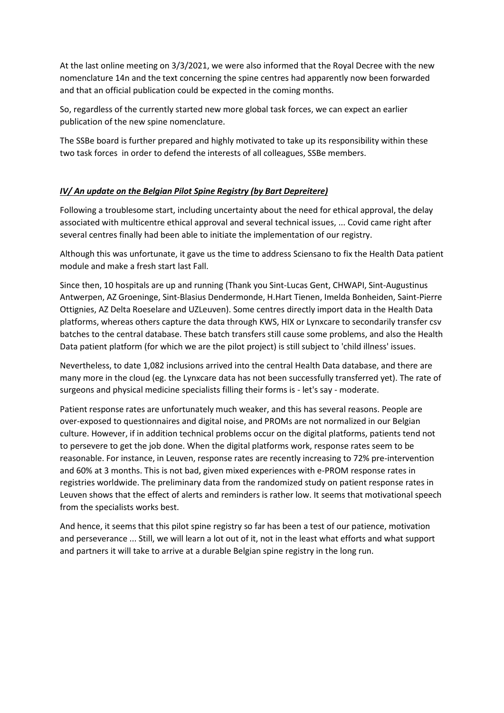At the last online meeting on 3/3/2021, we were also informed that the Royal Decree with the new nomenclature 14n and the text concerning the spine centres had apparently now been forwarded and that an official publication could be expected in the coming months.

So, regardless of the currently started new more global task forces, we can expect an earlier publication of the new spine nomenclature.

The SSBe board is further prepared and highly motivated to take up its responsibility within these two task forces in order to defend the interests of all colleagues, SSBe members.

## *IV/ An update on the Belgian Pilot Spine Registry (by Bart Depreitere)*

Following a troublesome start, including uncertainty about the need for ethical approval, the delay associated with multicentre ethical approval and several technical issues, ... Covid came right after several centres finally had been able to initiate the implementation of our registry.

Although this was unfortunate, it gave us the time to address Sciensano to fix the Health Data patient module and make a fresh start last Fall.

Since then, 10 hospitals are up and running (Thank you Sint-Lucas Gent, CHWAPI, Sint-Augustinus Antwerpen, AZ Groeninge, Sint-Blasius Dendermonde, H.Hart Tienen, Imelda Bonheiden, Saint-Pierre Ottignies, AZ Delta Roeselare and UZLeuven). Some centres directly import data in the Health Data platforms, whereas others capture the data through KWS, HIX or Lynxcare to secondarily transfer csv batches to the central database. These batch transfers still cause some problems, and also the Health Data patient platform (for which we are the pilot project) is still subject to 'child illness' issues.

Nevertheless, to date 1,082 inclusions arrived into the central Health Data database, and there are many more in the cloud (eg. the Lynxcare data has not been successfully transferred yet). The rate of surgeons and physical medicine specialists filling their forms is - let's say - moderate.

Patient response rates are unfortunately much weaker, and this has several reasons. People are over-exposed to questionnaires and digital noise, and PROMs are not normalized in our Belgian culture. However, if in addition technical problems occur on the digital platforms, patients tend not to persevere to get the job done. When the digital platforms work, response rates seem to be reasonable. For instance, in Leuven, response rates are recently increasing to 72% pre-intervention and 60% at 3 months. This is not bad, given mixed experiences with e-PROM response rates in registries worldwide. The preliminary data from the randomized study on patient response rates in Leuven shows that the effect of alerts and reminders is rather low. It seems that motivational speech from the specialists works best.

And hence, it seems that this pilot spine registry so far has been a test of our patience, motivation and perseverance ... Still, we will learn a lot out of it, not in the least what efforts and what support and partners it will take to arrive at a durable Belgian spine registry in the long run.